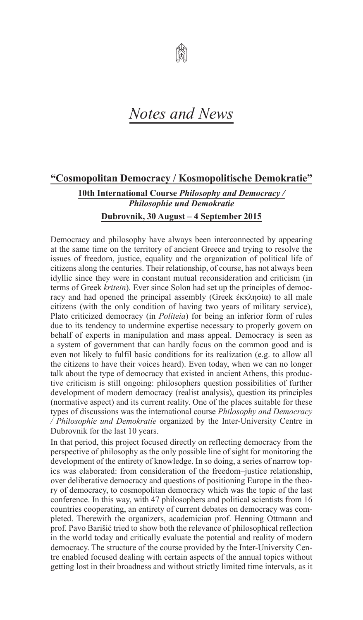

## *Notes and News*

## **"Cosmopolitan Democracy / Kosmopolitische Demokratie"**

**10th International Course** *Philosophy and Democracy / Philosophie und Demokratie* **Dubrovnik, 30 August – 4 September 2015**

Democracy and philosophy have always been interconnected by appearing at the same time on the territory of ancient Greece and trying to resolve the issues of freedom, justice, equality and the organization of political life of citizens along the centuries. Their relationship, of course, has not always been idyllic since they were in constant mutual reconsideration and criticism (in terms of Greek *kritein*). Ever since Solon had set up the principles of democracy and had opened the principal assembly (Greek ἐκκλησία) to all male citizens (with the only condition of having two years of military service), Plato criticized democracy (in *Politeia*) for being an inferior form of rules due to its tendency to undermine expertise necessary to properly govern on behalf of experts in manipulation and mass appeal. Democracy is seen as a system of government that can hardly focus on the common good and is even not likely to fulfil basic conditions for its realization (e.g. to allow all the citizens to have their voices heard). Even today, when we can no longer talk about the type of democracy that existed in ancient Athens, this productive criticism is still ongoing: philosophers question possibilities of further development of modern democracy (realist analysis), question its principles (normative aspect) and its current reality. One of the places suitable for these types of discussions was the international course *Philosophy and Democracy / Philosophie und Demokratie* organized by the Inter-University Centre in Dubrovnik for the last 10 years.

In that period, this project focused directly on reflecting democracy from the perspective of philosophy as the only possible line of sight for monitoring the development of the entirety of knowledge. In so doing, a series of narrow topics was elaborated: from consideration of the freedom–justice relationship, over deliberative democracy and questions of positioning Europe in the theory of democracy, to cosmopolitan democracy which was the topic of the last conference. In this way, with 47 philosophers and political scientists from 16 countries cooperating, an entirety of current debates on democracy was completed. Therewith the organizers, academician prof. Henning Ottmann and prof. Pavo Barišić tried to show both the relevance of philosophical reflection in the world today and critically evaluate the potential and reality of modern democracy. The structure of the course provided by the Inter-University Centre enabled focused dealing with certain aspects of the annual topics without getting lost in their broadness and without strictly limited time intervals, as it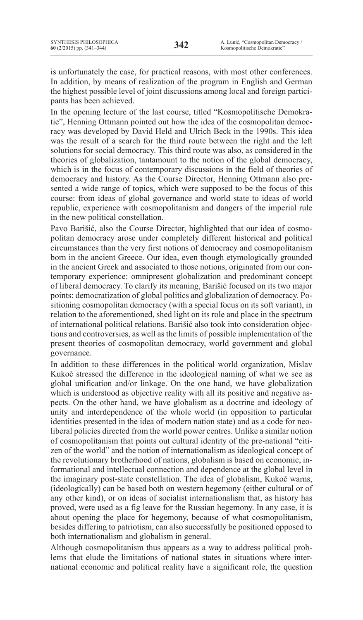is unfortunately the case, for practical reasons, with most other conferences. In addition, by means of realization of the program in English and German the highest possible level of joint discussions among local and foreign participants has been achieved.

In the opening lecture of the last course, titled "Kosmopolitische Demokratie", Henning Ottmann pointed out how the idea of the cosmopolitan democracy was developed by David Held and Ulrich Beck in the 1990s. This idea was the result of a search for the third route between the right and the left solutions for social democracy. This third route was also, as considered in the theories of globalization, tantamount to the notion of the global democracy, which is in the focus of contemporary discussions in the field of theories of democracy and history. As the Course Director, Henning Ottmann also presented a wide range of topics, which were supposed to be the focus of this course: from ideas of global governance and world state to ideas of world republic, experience with cosmopolitanism and dangers of the imperial rule in the new political constellation.

Pavo Barišić, also the Course Director, highlighted that our idea of cosmopolitan democracy arose under completely different historical and political circumstances than the very first notions of democracy and cosmopolitanism born in the ancient Greece. Our idea, even though etymologically grounded in the ancient Greek and associated to those notions, originated from our contemporary experience: omnipresent globalization and predominant concept of liberal democracy. To clarify its meaning, Barišić focused on its two major points: democratization of global politics and globalization of democracy. Positioning cosmopolitan democracy (with a special focus on its soft variant), in relation to the aforementioned, shed light on its role and place in the spectrum of international political relations. Barišić also took into consideration objections and controversies, as well as the limits of possible implementation of the present theories of cosmopolitan democracy, world government and global governance.

In addition to these differences in the political world organization, Mislav Kukoč stressed the difference in the ideological naming of what we see as global unification and/or linkage. On the one hand, we have globalization which is understood as objective reality with all its positive and negative aspects. On the other hand, we have globalism as a doctrine and ideology of unity and interdependence of the whole world (in opposition to particular identities presented in the idea of modern nation state) and as a code for neoliberal policies directed from the world power centres. Unlike a similar notion of cosmopolitanism that points out cultural identity of the pre-national "citizen of the world" and the notion of internationalism as ideological concept of the revolutionary brotherhood of nations, globalism is based on economic, informational and intellectual connection and dependence at the global level in the imaginary post-state constellation. The idea of globalism, Kukoč warns, (ideologically) can be based both on western hegemony (either cultural or of any other kind), or on ideas of socialist internationalism that, as history has proved, were used as a fig leave for the Russian hegemony. In any case, it is about opening the place for hegemony, because of what cosmopolitanism, besides differing to patriotism, can also successfully be positioned opposed to both internationalism and globalism in general.

Although cosmopolitanism thus appears as a way to address political problems that elude the limitations of national states in situations where international economic and political reality have a significant role, the question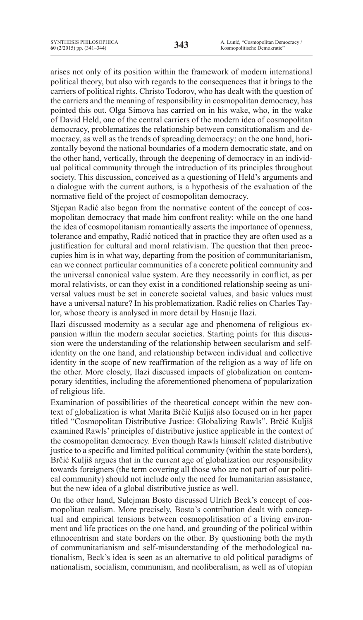arises not only of its position within the framework of modern international political theory, but also with regards to the consequences that it brings to the carriers of political rights. Christo Todorov, who has dealt with the question of the carriers and the meaning of responsibility in cosmopolitan democracy, has pointed this out. Olga Simova has carried on in his wake, who, in the wake of David Held, one of the central carriers of the modern idea of cosmopolitan democracy, problematizes the relationship between constitutionalism and democracy, as well as the trends of spreading democracy: on the one hand, horizontally beyond the national boundaries of a modern democratic state, and on the other hand, vertically, through the deepening of democracy in an individual political community through the introduction of its principles throughout society. This discussion, conceived as a questioning of Held's arguments and a dialogue with the current authors, is a hypothesis of the evaluation of the normative field of the project of cosmopolitan democracy.

Stjepan Radić also began from the normative content of the concept of cosmopolitan democracy that made him confront reality: while on the one hand the idea of cosmopolitanism romantically asserts the importance of openness, tolerance and empathy, Radić noticed that in practice they are often used as a justification for cultural and moral relativism. The question that then preoccupies him is in what way, departing from the position of communitarianism, can we connect particular communities of a concrete political community and the universal canonical value system. Are they necessarily in conflict, as per moral relativists, or can they exist in a conditioned relationship seeing as universal values must be set in concrete societal values, and basic values must have a universal nature? In his problematization, Radić relies on Charles Taylor, whose theory is analysed in more detail by Hasnije Ilazi.

Ilazi discussed modernity as a secular age and phenomena of religious expansion within the modern secular societies. Starting points for this discussion were the understanding of the relationship between secularism and selfidentity on the one hand, and relationship between individual and collective identity in the scope of new reaffirmation of the religion as a way of life on the other. More closely, Ilazi discussed impacts of globalization on contemporary identities, including the aforementioned phenomena of popularization of religious life.

Examination of possibilities of the theoretical concept within the new context of globalization is what Marita Brčić Kuljiš also focused on in her paper titled "Cosmopolitan Distributive Justice: Globalizing Rawls". Brčić Kuljiš examined Rawls' principles of distributive justice applicable in the context of the cosmopolitan democracy. Even though Rawls himself related distributive justice to a specific and limited political community (within the state borders), Brčić Kuljiš argues that in the current age of globalization our responsibility towards foreigners (the term covering all those who are not part of our political community) should not include only the need for humanitarian assistance, but the new idea of a global distributive justice as well.

On the other hand, Sulejman Bosto discussed Ulrich Beck's concept of cosmopolitan realism. More precisely, Bosto's contribution dealt with conceptual and empirical tensions between cosmopolitisation of a living environment and life practices on the one hand, and grounding of the political within ethnocentrism and state borders on the other. By questioning both the myth of communitarianism and self-misunderstanding of the methodological nationalism, Beck's idea is seen as an alternative to old political paradigms of nationalism, socialism, communism, and neoliberalism, as well as of utopian